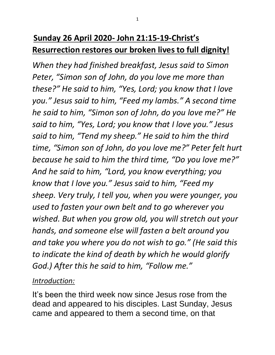## **Sunday 26 April 2020- John 21:15-19-Christ's Resurrection restores our broken lives to full dignity!**

*When they had finished breakfast, Jesus said to Simon Peter, "Simon son of John, do you love me more than these?" He said to him, "Yes, Lord; you know that I love you." Jesus said to him, "Feed my lambs." A second time he said to him, "Simon son of John, do you love me?" He said to him, "Yes, Lord; you know that I love you." Jesus said to him, "Tend my sheep." He said to him the third time, "Simon son of John, do you love me?" Peter felt hurt because he said to him the third time, "Do you love me?" And he said to him, "Lord, you know everything; you know that I love you." Jesus said to him, "Feed my sheep. Very truly, I tell you, when you were younger, you used to fasten your own belt and to go wherever you wished. But when you grow old, you will stretch out your hands, and someone else will fasten a belt around you and take you where you do not wish to go." (He said this to indicate the kind of death by which he would glorify God.) After this he said to him, "Follow me."*

## *Introduction:*

It's been the third week now since Jesus rose from the dead and appeared to his disciples. Last Sunday, Jesus came and appeared to them a second time, on that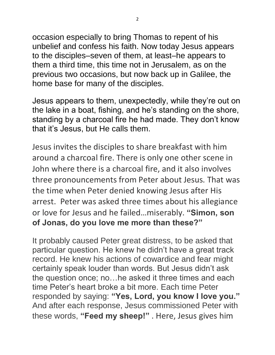occasion especially to bring Thomas to repent of his unbelief and confess his faith. Now today Jesus appears to the disciples–seven of them, at least–he appears to them a third time, this time not in Jerusalem, as on the previous two occasions, but now back up in Galilee, the home base for many of the disciples.

Jesus appears to them, unexpectedly, while they're out on the lake in a boat, fishing, and he's standing on the shore, standing by a charcoal fire he had made. They don't know that it's Jesus, but He calls them.

Jesus invites the disciples to share breakfast with him around a charcoal fire. There is only one other scene in John where there is a charcoal fire, and it also involves three pronouncements from Peter about Jesus. That was the time when Peter denied knowing Jesus after His arrest. Peter was asked three times about his allegiance or love for Jesus and he failed…miserably. **"Simon, son of Jonas, do you love me more than these?"**

It probably caused Peter great distress, to be asked that particular question. He knew he didn't have a great track record. He knew his actions of cowardice and fear might certainly speak louder than words. But Jesus didn't ask the question once; no…he asked it three times and each time Peter's heart broke a bit more. Each time Peter responded by saying: **"Yes, Lord, you know I love you."** And after each response, Jesus commissioned Peter with these words, **"Feed my sheep!"** . Here, Jesus gives him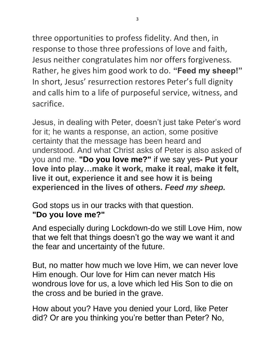three opportunities to profess fidelity. And then, in response to those three professions of love and faith, Jesus neither congratulates him nor offers forgiveness. Rather, he gives him good work to do. **"Feed my sheep!"** In short, Jesus' resurrection restores Peter's full dignity and calls him to a life of purposeful service, witness, and sacrifice.

Jesus, in dealing with Peter, doesn't just take Peter's word for it; he wants a response, an action, some positive certainty that the message has been heard and understood. And what Christ asks of Peter is also asked of you and me. **"Do you love me?"** if we say yes**- Put your love into play…make it work, make it real, make it felt, live it out, experience it and see how it is being experienced in the lives of others.** *Feed my sheep.*

God stops us in our tracks with that question. **"Do you love me?"**

And especially during Lockdown-do we still Love Him, now that we felt that things doesn't go the way we want it and the fear and uncertainty of the future.

But, no matter how much we love Him, we can never love Him enough. Our love for Him can never match His wondrous love for us, a love which led His Son to die on the cross and be buried in the grave.

How about you? Have you denied your Lord, like Peter did? Or are you thinking you're better than Peter? No,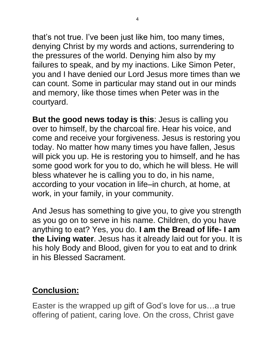that's not true. I've been just like him, too many times, denying Christ by my words and actions, surrendering to the pressures of the world. Denying him also by my failures to speak, and by my inactions. Like Simon Peter, you and I have denied our Lord Jesus more times than we can count. Some in particular may stand out in our minds and memory, like those times when Peter was in the courtyard.

**But the good news today is this**: Jesus is calling you over to himself, by the charcoal fire. Hear his voice, and come and receive your forgiveness. Jesus is restoring you today. No matter how many times you have fallen, Jesus will pick you up. He is restoring you to himself, and he has some good work for you to do, which he will bless. He will bless whatever he is calling you to do, in his name, according to your vocation in life–in church, at home, at work, in your family, in your community.

And Jesus has something to give you, to give you strength as you go on to serve in his name. Children, do you have anything to eat? Yes, you do. **I am the Bread of life- I am the Living water**. Jesus has it already laid out for you. It is his holy Body and Blood, given for you to eat and to drink in his Blessed Sacrament.

## **Conclusion:**

Easter is the wrapped up gift of God's love for us…a true offering of patient, caring love. On the cross, Christ gave